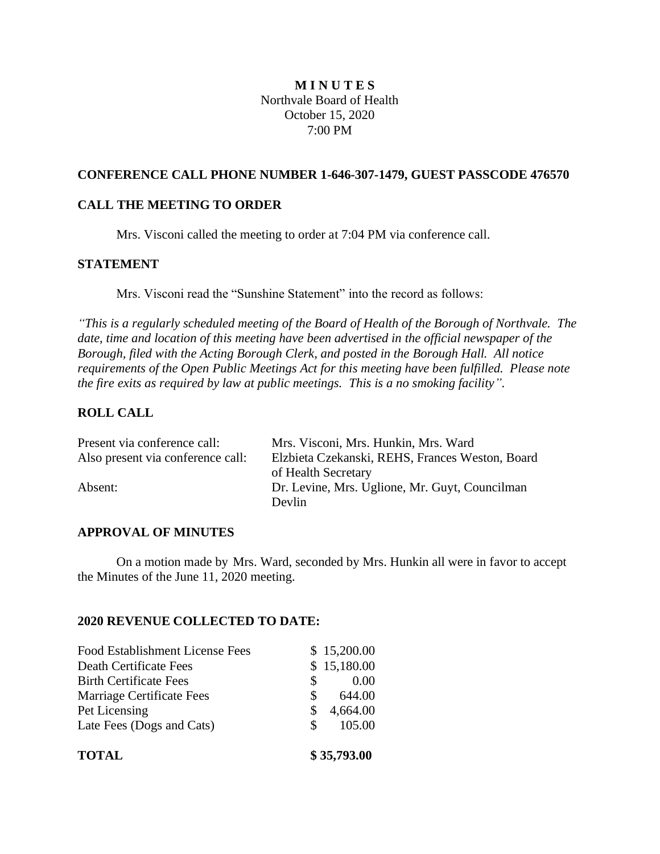# **M I N U T E S** Northvale Board of Health October 15, 2020 7:00 PM

## **CONFERENCE CALL PHONE NUMBER 1-646-307-1479, GUEST PASSCODE 476570**

## **CALL THE MEETING TO ORDER**

Mrs. Visconi called the meeting to order at 7:04 PM via conference call.

## **STATEMENT**

Mrs. Visconi read the "Sunshine Statement" into the record as follows:

*"This is a regularly scheduled meeting of the Board of Health of the Borough of Northvale. The date, time and location of this meeting have been advertised in the official newspaper of the Borough, filed with the Acting Borough Clerk, and posted in the Borough Hall. All notice requirements of the Open Public Meetings Act for this meeting have been fulfilled. Please note the fire exits as required by law at public meetings. This is a no smoking facility".*

## **ROLL CALL**

| Present via conference call:      | Mrs. Visconi, Mrs. Hunkin, Mrs. Ward            |
|-----------------------------------|-------------------------------------------------|
| Also present via conference call: | Elzbieta Czekanski, REHS, Frances Weston, Board |
|                                   | of Health Secretary                             |
| Absent:                           | Dr. Levine, Mrs. Uglione, Mr. Guyt, Councilman  |
|                                   | Devlin.                                         |

### **APPROVAL OF MINUTES**

On a motion made by Mrs. Ward, seconded by Mrs. Hunkin all were in favor to accept the Minutes of the June 11, 2020 meeting.

### **2020 REVENUE COLLECTED TO DATE:**

| <b>TOTAL</b>                           |    | \$35,793.00 |
|----------------------------------------|----|-------------|
| Late Fees (Dogs and Cats)              | S. | 105.00      |
| Pet Licensing                          | S  | 4,664.00    |
| Marriage Certificate Fees              | S  | 644.00      |
| <b>Birth Certificate Fees</b>          | S. | 0.00        |
| Death Certificate Fees                 |    | \$15,180.00 |
| <b>Food Establishment License Fees</b> |    | \$15,200.00 |
|                                        |    |             |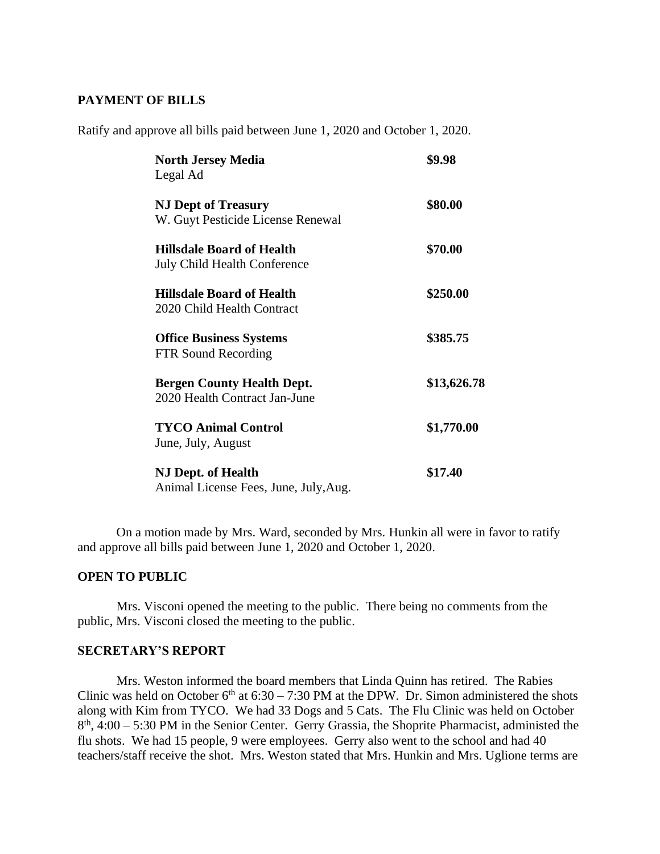### **PAYMENT OF BILLS**

Ratify and approve all bills paid between June 1, 2020 and October 1, 2020.

| <b>North Jersey Media</b><br>Legal Ad                              | \$9.98      |
|--------------------------------------------------------------------|-------------|
| <b>NJ Dept of Treasury</b><br>W. Guyt Pesticide License Renewal    | \$80.00     |
| <b>Hillsdale Board of Health</b><br>July Child Health Conference   | \$70.00     |
| <b>Hillsdale Board of Health</b><br>2020 Child Health Contract     | \$250.00    |
| <b>Office Business Systems</b><br>FTR Sound Recording              | \$385.75    |
| <b>Bergen County Health Dept.</b><br>2020 Health Contract Jan-June | \$13,626.78 |
| <b>TYCO Animal Control</b><br>June, July, August                   | \$1,770.00  |
| <b>NJ Dept. of Health</b><br>Animal License Fees, June, July, Aug. | \$17.40     |

On a motion made by Mrs. Ward, seconded by Mrs. Hunkin all were in favor to ratify and approve all bills paid between June 1, 2020 and October 1, 2020.

## **OPEN TO PUBLIC**

Mrs. Visconi opened the meeting to the public. There being no comments from the public, Mrs. Visconi closed the meeting to the public.

#### **SECRETARY'S REPORT**

Mrs. Weston informed the board members that Linda Quinn has retired. The Rabies Clinic was held on October  $6<sup>th</sup>$  at  $6:30 - 7:30$  PM at the DPW. Dr. Simon administered the shots along with Kim from TYCO. We had 33 Dogs and 5 Cats. The Flu Clinic was held on October 8<sup>th</sup>, 4:00 – 5:30 PM in the Senior Center. Gerry Grassia, the Shoprite Pharmacist, administed the flu shots. We had 15 people, 9 were employees. Gerry also went to the school and had 40 teachers/staff receive the shot. Mrs. Weston stated that Mrs. Hunkin and Mrs. Uglione terms are